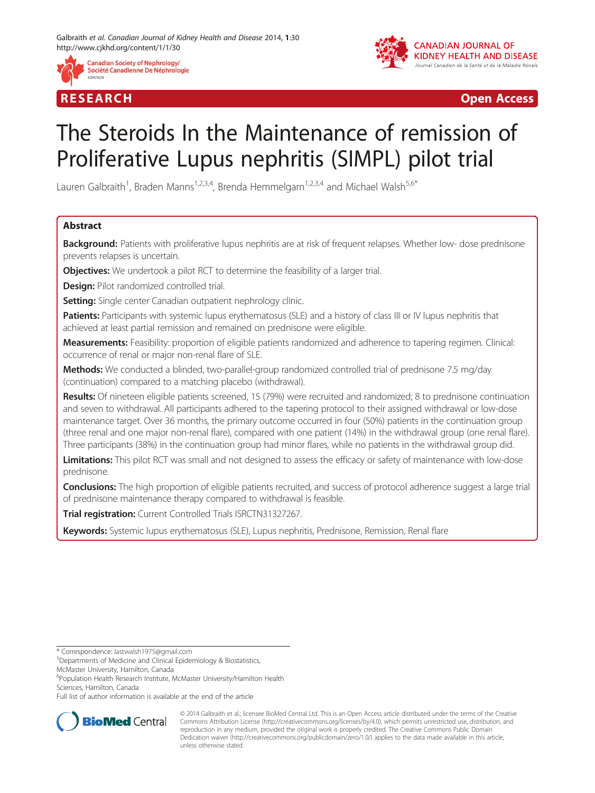





# The Steroids In the Maintenance of remission of Proliferative Lupus nephritis (SIMPL) pilot trial

Lauren Galbraith<sup>1</sup>, Braden Manns<sup>1,2,3,4</sup>, Brenda Hemmelgarn<sup>1,2,3,4</sup> and Michael Walsh<sup>5,6\*</sup>

# Abstract

Background: Patients with proliferative lupus nephritis are at risk of frequent relapses. Whether low- dose prednisone prevents relapses is uncertain.

**Objectives:** We undertook a pilot RCT to determine the feasibility of a larger trial.

**Design:** Pilot randomized controlled trial.

**Setting:** Single center Canadian outpatient nephrology clinic.

Patients: Participants with systemic lupus erythematosus (SLE) and a history of class III or IV lupus nephritis that achieved at least partial remission and remained on prednisone were eligible.

Measurements: Feasibility: proportion of eligible patients randomized and adherence to tapering regimen. Clinical: occurrence of renal or major non-renal flare of SLE.

Methods: We conducted a blinded, two-parallel-group randomized controlled trial of prednisone 7.5 mg/day (continuation) compared to a matching placebo (withdrawal).

Results: Of nineteen eligible patients screened, 15 (79%) were recruited and randomized; 8 to prednisone continuation and seven to withdrawal. All participants adhered to the tapering protocol to their assigned withdrawal or low-dose maintenance target. Over 36 months, the primary outcome occurred in four (50%) patients in the continuation group (three renal and one major non-renal flare), compared with one patient (14%) in the withdrawal group (one renal flare). Three participants (38%) in the continuation group had minor flares, while no patients in the withdrawal group did.

Limitations: This pilot RCT was small and not designed to assess the efficacy or safety of maintenance with low-dose prednisone.

**Conclusions:** The high proportion of eligible patients recruited, and success of protocol adherence suggest a large trial of prednisone maintenance therapy compared to withdrawal is feasible.

Trial registration: Current Controlled Trials [ISRCTN31327267.](http://www.isrctn.com/ISRCTN31327267)

Keywords: Systemic lupus erythematosus (SLE), Lupus nephritis, Prednisone, Remission, Renal flare

McMaster University, Hamilton, Canada

6 Population Health Research Institute, McMaster University/Hamilton Health Sciences, Hamilton, Canada

Full list of author information is available at the end of the article



© 2014 Galbraith et al.; licensee BioMed Central Ltd. This is an Open Access article distributed under the terms of the Creative Commons Attribution License [\(http://creativecommons.org/licenses/by/4.0\)](http://creativecommons.org/licenses/by/4.0), which permits unrestricted use, distribution, and reproduction in any medium, provided the original work is properly credited. The Creative Commons Public Domain Dedication waiver [\(http://creativecommons.org/publicdomain/zero/1.0/](http://creativecommons.org/publicdomain/zero/1.0/)) applies to the data made available in this article, unless otherwise stated.

<sup>\*</sup> Correspondence: [lastwalsh1975@gmail.com](mailto:lastwalsh1975@gmail.com) <sup>5</sup>

Departments of Medicine and Clinical Epidemiology & Biostatistics,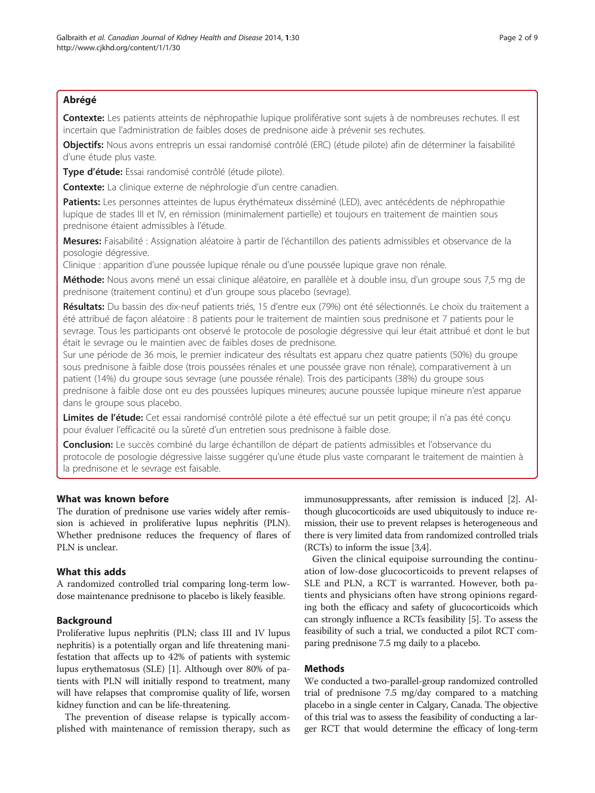# Abrégé

Contexte: Les patients atteints de néphropathie lupique proliférative sont sujets à de nombreuses rechutes. Il est incertain que l'administration de faibles doses de prednisone aide à prévenir ses rechutes.

Objectifs: Nous avons entrepris un essai randomisé contrôlé (ERC) (étude pilote) afin de déterminer la faisabilité d'une étude plus vaste.

Type d'étude: Essai randomisé contrôlé (étude pilote).

Contexte: La clinique externe de néphrologie d'un centre canadien.

Patients: Les personnes atteintes de lupus érythémateux disséminé (LED), avec antécédents de néphropathie lupique de stades III et IV, en rémission (minimalement partielle) et toujours en traitement de maintien sous prednisone étaient admissibles à l'étude.

Mesures: Faisabilité : Assignation aléatoire à partir de l'échantillon des patients admissibles et observance de la posologie dégressive.

Clinique : apparition d'une poussée lupique rénale ou d'une poussée lupique grave non rénale.

Méthode: Nous avons mené un essai clinique aléatoire, en parallèle et à double insu, d'un groupe sous 7,5 mg de prednisone (traitement continu) et d'un groupe sous placebo (sevrage).

Résultats: Du bassin des dix-neuf patients triés, 15 d'entre eux (79%) ont été sélectionnés. Le choix du traitement a été attribué de façon aléatoire : 8 patients pour le traitement de maintien sous prednisone et 7 patients pour le sevrage. Tous les participants ont observé le protocole de posologie dégressive qui leur était attribué et dont le but était le sevrage ou le maintien avec de faibles doses de prednisone.

Sur une période de 36 mois, le premier indicateur des résultats est apparu chez quatre patients (50%) du groupe sous prednisone à faible dose (trois poussées rénales et une poussée grave non rénale), comparativement à un patient (14%) du groupe sous sevrage (une poussée rénale). Trois des participants (38%) du groupe sous prednisone à faible dose ont eu des poussées lupiques mineures; aucune poussée lupique mineure n'est apparue dans le groupe sous placebo.

Limites de l'étude: Cet essai randomisé contrôlé pilote a été effectué sur un petit groupe; il n'a pas été conçu pour évaluer l'efficacité ou la sûreté d'un entretien sous prednisone à faible dose.

Conclusion: Le succès combiné du large échantillon de départ de patients admissibles et l'observance du protocole de posologie dégressive laisse suggérer qu'une étude plus vaste comparant le traitement de maintien à la prednisone et le sevrage est faisable.

# What was known before

The duration of prednisone use varies widely after remission is achieved in proliferative lupus nephritis (PLN). Whether prednisone reduces the frequency of flares of PLN is unclear.

# What this adds

A randomized controlled trial comparing long-term lowdose maintenance prednisone to placebo is likely feasible.

## Background

Proliferative lupus nephritis (PLN; class III and IV lupus nephritis) is a potentially organ and life threatening manifestation that affects up to 42% of patients with systemic lupus erythematosus (SLE) [\[1](#page-7-0)]. Although over 80% of patients with PLN will initially respond to treatment, many will have relapses that compromise quality of life, worsen kidney function and can be life-threatening.

The prevention of disease relapse is typically accomplished with maintenance of remission therapy, such as immunosuppressants, after remission is induced [\[2](#page-7-0)]. Although glucocorticoids are used ubiquitously to induce remission, their use to prevent relapses is heterogeneous and there is very limited data from randomized controlled trials (RCTs) to inform the issue [\[3,4\]](#page-7-0).

Given the clinical equipoise surrounding the continuation of low-dose glucocorticoids to prevent relapses of SLE and PLN, a RCT is warranted. However, both patients and physicians often have strong opinions regarding both the efficacy and safety of glucocorticoids which can strongly influence a RCTs feasibility [\[5\]](#page-7-0). To assess the feasibility of such a trial, we conducted a pilot RCT comparing prednisone 7.5 mg daily to a placebo.

# Methods

We conducted a two-parallel-group randomized controlled trial of prednisone 7.5 mg/day compared to a matching placebo in a single center in Calgary, Canada. The objective of this trial was to assess the feasibility of conducting a larger RCT that would determine the efficacy of long-term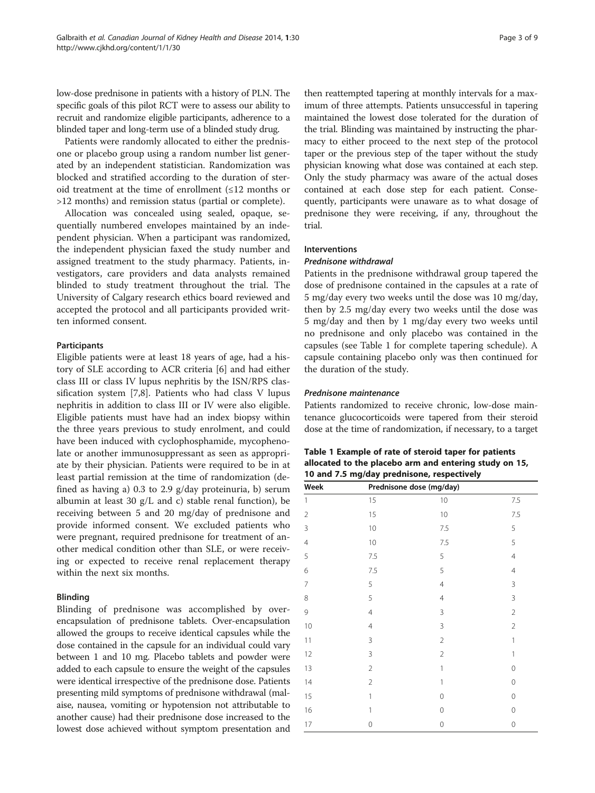low-dose prednisone in patients with a history of PLN. The specific goals of this pilot RCT were to assess our ability to recruit and randomize eligible participants, adherence to a blinded taper and long-term use of a blinded study drug.

Patients were randomly allocated to either the prednisone or placebo group using a random number list generated by an independent statistician. Randomization was blocked and stratified according to the duration of steroid treatment at the time of enrollment (≤12 months or >12 months) and remission status (partial or complete).

Allocation was concealed using sealed, opaque, sequentially numbered envelopes maintained by an independent physician. When a participant was randomized, the independent physician faxed the study number and assigned treatment to the study pharmacy. Patients, investigators, care providers and data analysts remained blinded to study treatment throughout the trial. The University of Calgary research ethics board reviewed and accepted the protocol and all participants provided written informed consent.

## Participants

Eligible patients were at least 18 years of age, had a history of SLE according to ACR criteria [\[6](#page-7-0)] and had either class III or class IV lupus nephritis by the ISN/RPS classification system [[7](#page-7-0),[8](#page-7-0)]. Patients who had class V lupus nephritis in addition to class III or IV were also eligible. Eligible patients must have had an index biopsy within the three years previous to study enrolment, and could have been induced with cyclophosphamide, mycophenolate or another immunosuppressant as seen as appropriate by their physician. Patients were required to be in at least partial remission at the time of randomization (defined as having a) 0.3 to 2.9 g/day proteinuria, b) serum albumin at least 30  $g/L$  and c) stable renal function), be receiving between 5 and 20 mg/day of prednisone and provide informed consent. We excluded patients who were pregnant, required prednisone for treatment of another medical condition other than SLE, or were receiving or expected to receive renal replacement therapy within the next six months.

# Blinding

Blinding of prednisone was accomplished by overencapsulation of prednisone tablets. Over-encapsulation allowed the groups to receive identical capsules while the dose contained in the capsule for an individual could vary between 1 and 10 mg. Placebo tablets and powder were added to each capsule to ensure the weight of the capsules were identical irrespective of the prednisone dose. Patients presenting mild symptoms of prednisone withdrawal (malaise, nausea, vomiting or hypotension not attributable to another cause) had their prednisone dose increased to the lowest dose achieved without symptom presentation and

then reattempted tapering at monthly intervals for a maximum of three attempts. Patients unsuccessful in tapering maintained the lowest dose tolerated for the duration of the trial. Blinding was maintained by instructing the pharmacy to either proceed to the next step of the protocol taper or the previous step of the taper without the study physician knowing what dose was contained at each step. Only the study pharmacy was aware of the actual doses contained at each dose step for each patient. Consequently, participants were unaware as to what dosage of prednisone they were receiving, if any, throughout the trial.

# Interventions

## Prednisone withdrawal

Patients in the prednisone withdrawal group tapered the dose of prednisone contained in the capsules at a rate of 5 mg/day every two weeks until the dose was 10 mg/day, then by 2.5 mg/day every two weeks until the dose was 5 mg/day and then by 1 mg/day every two weeks until no prednisone and only placebo was contained in the capsules (see Table 1 for complete tapering schedule). A capsule containing placebo only was then continued for the duration of the study.

## Prednisone maintenance

Patients randomized to receive chronic, low-dose maintenance glucocorticoids were tapered from their steroid dose at the time of randomization, if necessary, to a target

| Table 1 Example of rate of steroid taper for patients  |
|--------------------------------------------------------|
| allocated to the placebo arm and entering study on 15, |
| 10 and 7.5 mg/day prednisone, respectively             |

| Week           | Prednisone dose (mg/day) |                |                |
|----------------|--------------------------|----------------|----------------|
| 1              | 15                       | 10             | $7.5\,$        |
| $\overline{2}$ | 15                       | 10             | $7.5\,$        |
| 3              | 10                       | 7.5            | 5              |
| $\overline{4}$ | 10                       | 7.5            | 5              |
| 5              | 7.5                      | 5              | $\overline{4}$ |
| 6              | 7.5                      | 5              | $\overline{4}$ |
| $\overline{7}$ | 5                        | $\overline{4}$ | 3              |
| 8              | 5                        | $\overline{4}$ | 3              |
| 9              | $\overline{4}$           | 3              | $\overline{2}$ |
| 10             | $\overline{4}$           | 3              | $\overline{2}$ |
| 11             | 3                        | $\overline{c}$ | 1              |
| 12             | $\mathsf 3$              | $\overline{2}$ | 1              |
| 13             | $\overline{2}$           | 1              | 0              |
| 14             | $\overline{2}$           | 1              | $\mathbf 0$    |
| 15             | 1                        | $\mathbf 0$    | $\mathbf 0$    |
| 16             | 1                        | $\mathbf 0$    | $\mathbf 0$    |
| 17             | 0                        | $\mathbf 0$    | $\mathbf 0$    |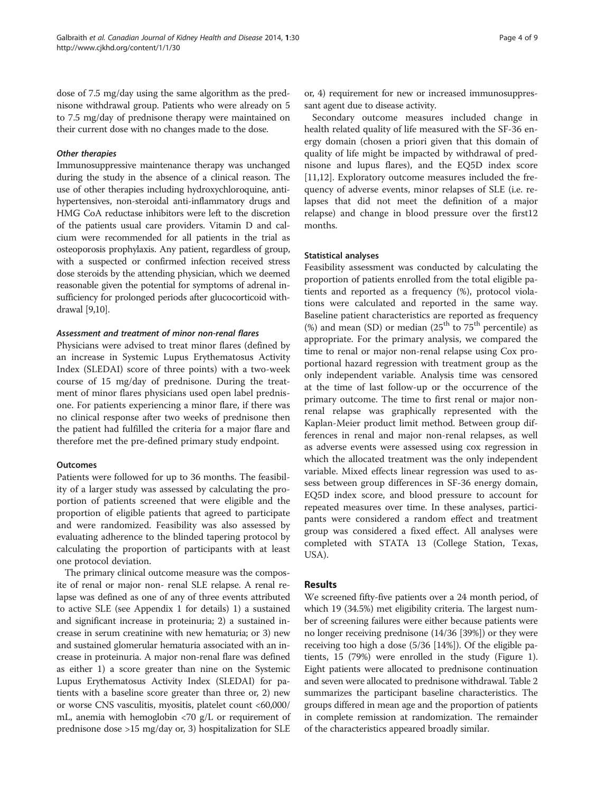dose of 7.5 mg/day using the same algorithm as the prednisone withdrawal group. Patients who were already on 5 to 7.5 mg/day of prednisone therapy were maintained on their current dose with no changes made to the dose.

#### Other therapies

Immunosuppressive maintenance therapy was unchanged during the study in the absence of a clinical reason. The use of other therapies including hydroxychloroquine, antihypertensives, non-steroidal anti-inflammatory drugs and HMG CoA reductase inhibitors were left to the discretion of the patients usual care providers. Vitamin D and calcium were recommended for all patients in the trial as osteoporosis prophylaxis. Any patient, regardless of group, with a suspected or confirmed infection received stress dose steroids by the attending physician, which we deemed reasonable given the potential for symptoms of adrenal insufficiency for prolonged periods after glucocorticoid withdrawal [[9,10\]](#page-7-0).

#### Assessment and treatment of minor non-renal flares

Physicians were advised to treat minor flares (defined by an increase in Systemic Lupus Erythematosus Activity Index (SLEDAI) score of three points) with a two-week course of 15 mg/day of prednisone. During the treatment of minor flares physicians used open label prednisone. For patients experiencing a minor flare, if there was no clinical response after two weeks of prednisone then the patient had fulfilled the criteria for a major flare and therefore met the pre-defined primary study endpoint.

## **Outcomes**

Patients were followed for up to 36 months. The feasibility of a larger study was assessed by calculating the proportion of patients screened that were eligible and the proportion of eligible patients that agreed to participate and were randomized. Feasibility was also assessed by evaluating adherence to the blinded tapering protocol by calculating the proportion of participants with at least one protocol deviation.

The primary clinical outcome measure was the composite of renal or major non- renal SLE relapse. A renal relapse was defined as one of any of three events attributed to active SLE (see [Appendix 1](#page-7-0) for details) 1) a sustained and significant increase in proteinuria; 2) a sustained increase in serum creatinine with new hematuria; or 3) new and sustained glomerular hematuria associated with an increase in proteinuria. A major non-renal flare was defined as either 1) a score greater than nine on the Systemic Lupus Erythematosus Activity Index (SLEDAI) for patients with a baseline score greater than three or, 2) new or worse CNS vasculitis, myositis, platelet count <60,000/ mL, anemia with hemoglobin <70 g/L or requirement of prednisone dose >15 mg/day or, 3) hospitalization for SLE

or, 4) requirement for new or increased immunosuppressant agent due to disease activity.

Secondary outcome measures included change in health related quality of life measured with the SF-36 energy domain (chosen a priori given that this domain of quality of life might be impacted by withdrawal of prednisone and lupus flares), and the EQ5D index score [[11,12\]](#page-7-0). Exploratory outcome measures included the frequency of adverse events, minor relapses of SLE (i.e. relapses that did not meet the definition of a major relapse) and change in blood pressure over the first12 months.

#### Statistical analyses

Feasibility assessment was conducted by calculating the proportion of patients enrolled from the total eligible patients and reported as a frequency (%), protocol violations were calculated and reported in the same way. Baseline patient characteristics are reported as frequency (%) and mean (SD) or median ( $25<sup>th</sup>$  to  $75<sup>th</sup>$  percentile) as appropriate. For the primary analysis, we compared the time to renal or major non-renal relapse using Cox proportional hazard regression with treatment group as the only independent variable. Analysis time was censored at the time of last follow-up or the occurrence of the primary outcome. The time to first renal or major nonrenal relapse was graphically represented with the Kaplan-Meier product limit method. Between group differences in renal and major non-renal relapses, as well as adverse events were assessed using cox regression in which the allocated treatment was the only independent variable. Mixed effects linear regression was used to assess between group differences in SF-36 energy domain, EQ5D index score, and blood pressure to account for repeated measures over time. In these analyses, participants were considered a random effect and treatment group was considered a fixed effect. All analyses were completed with STATA 13 (College Station, Texas, USA).

## Results

We screened fifty-five patients over a 24 month period, of which 19 (34.5%) met eligibility criteria. The largest number of screening failures were either because patients were no longer receiving prednisone (14/36 [39%]) or they were receiving too high a dose (5/36 [14%]). Of the eligible patients, 15 (79%) were enrolled in the study (Figure [1](#page-4-0)). Eight patients were allocated to prednisone continuation and seven were allocated to prednisone withdrawal. Table [2](#page-5-0) summarizes the participant baseline characteristics. The groups differed in mean age and the proportion of patients in complete remission at randomization. The remainder of the characteristics appeared broadly similar.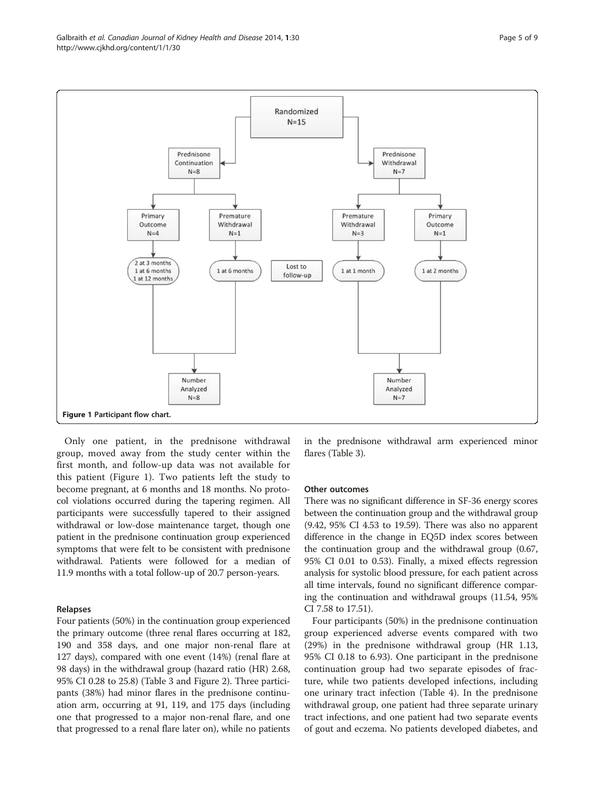<span id="page-4-0"></span>

Only one patient, in the prednisone withdrawal group, moved away from the study center within the first month, and follow-up data was not available for this patient (Figure 1). Two patients left the study to become pregnant, at 6 months and 18 months. No protocol violations occurred during the tapering regimen. All participants were successfully tapered to their assigned withdrawal or low-dose maintenance target, though one patient in the prednisone continuation group experienced symptoms that were felt to be consistent with prednisone withdrawal. Patients were followed for a median of 11.9 months with a total follow-up of 20.7 person-years.

#### Relapses

Four patients (50%) in the continuation group experienced the primary outcome (three renal flares occurring at 182, 190 and 358 days, and one major non-renal flare at 127 days), compared with one event (14%) (renal flare at 98 days) in the withdrawal group (hazard ratio (HR) 2.68, 95% CI 0.28 to 25.8) (Table [3](#page-5-0) and Figure [2](#page-6-0)). Three participants (38%) had minor flares in the prednisone continuation arm, occurring at 91, 119, and 175 days (including one that progressed to a major non-renal flare, and one that progressed to a renal flare later on), while no patients

in the prednisone withdrawal arm experienced minor flares (Table [3\)](#page-5-0).

#### Other outcomes

There was no significant difference in SF-36 energy scores between the continuation group and the withdrawal group (9.42, 95% CI 4.53 to 19.59). There was also no apparent difference in the change in EQ5D index scores between the continuation group and the withdrawal group (0.67, 95% CI 0.01 to 0.53). Finally, a mixed effects regression analysis for systolic blood pressure, for each patient across all time intervals, found no significant difference comparing the continuation and withdrawal groups (11.54, 95% CI 7.58 to 17.51).

Four participants (50%) in the prednisone continuation group experienced adverse events compared with two (29%) in the prednisone withdrawal group (HR 1.13, 95% CI 0.18 to 6.93). One participant in the prednisone continuation group had two separate episodes of fracture, while two patients developed infections, including one urinary tract infection (Table [4](#page-6-0)). In the prednisone withdrawal group, one patient had three separate urinary tract infections, and one patient had two separate events of gout and eczema. No patients developed diabetes, and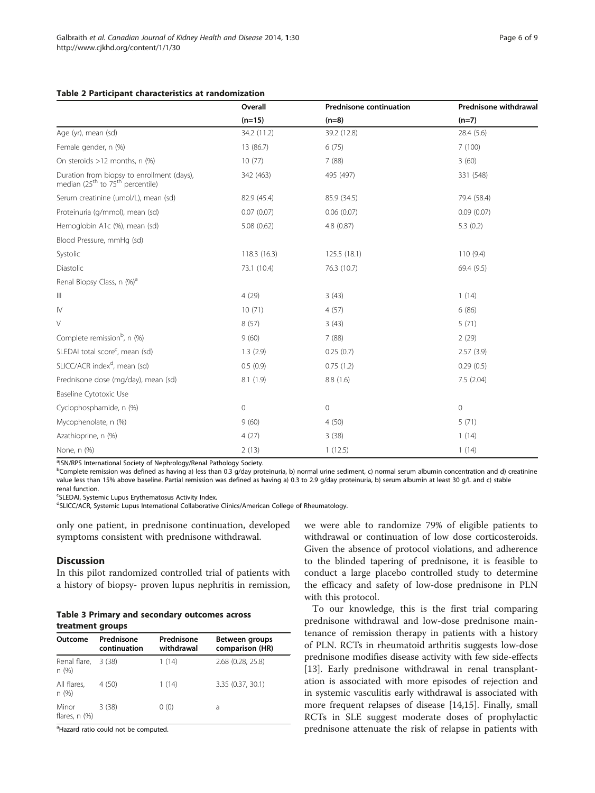### <span id="page-5-0"></span>Table 2 Participant characteristics at randomization

|                                                                                    | Overall     | <b>Prednisone continuation</b> | Prednisone withdrawal |
|------------------------------------------------------------------------------------|-------------|--------------------------------|-----------------------|
|                                                                                    | $(n=15)$    | $(n=8)$                        | $(n=7)$               |
| Age (yr), mean (sd)                                                                | 34.2 (11.2) | 39.2 (12.8)                    | 28.4(5.6)             |
| Female gender, n (%)                                                               | 13 (86.7)   | 6(75)                          | 7(100)                |
| On steroids >12 months, n (%)                                                      | 10(77)      | 7(88)                          | 3(60)                 |
| Duration from biopsy to enrollment (days),<br>median $(25th$ to $75th$ percentile) | 342 (463)   | 495 (497)                      | 331 (548)             |
| Serum creatinine (umol/L), mean (sd)                                               | 82.9 (45.4) | 85.9 (34.5)                    | 79.4 (58.4)           |
| Proteinuria (g/mmol), mean (sd)                                                    | 0.07(0.07)  | 0.06(0.07)                     | 0.09(0.07)            |
| Hemoglobin A1c (%), mean (sd)                                                      | 5.08 (0.62) | 4.8 (0.87)                     | 5.3(0.2)              |
| Blood Pressure, mmHg (sd)                                                          |             |                                |                       |
| Systolic                                                                           | 118.3(16.3) | 125.5(18.1)                    | 110(9.4)              |
| Diastolic                                                                          | 73.1 (10.4) | 76.3 (10.7)                    | 69.4 (9.5)            |
| Renal Biopsy Class, n (%) <sup>a</sup>                                             |             |                                |                       |
| $\ensuremath{\mathsf{III}}\xspace$                                                 | 4(29)       | 3(43)                          | 1(14)                 |
| IV                                                                                 | 10(71)      | 4(57)                          | 6(86)                 |
| $\vee$                                                                             | 8(57)       | 3(43)                          | 5(71)                 |
| Complete remission <sup>b</sup> , n (%)                                            | 9(60)       | 7(88)                          | 2(29)                 |
| SLEDAI total score <sup>c</sup> , mean (sd)                                        | 1.3(2.9)    | 0.25(0.7)                      | 2.57(3.9)             |
| SLICC/ACR index <sup>d</sup> , mean (sd)                                           | 0.5(0.9)    | 0.75(1.2)                      | 0.29(0.5)             |
| Prednisone dose (mg/day), mean (sd)                                                | 8.1(1.9)    | 8.8(1.6)                       | 7.5(2.04)             |
| Baseline Cytotoxic Use                                                             |             |                                |                       |
| Cyclophosphamide, n (%)                                                            | 0           | $\mathbf 0$                    | $\mathbf 0$           |
| Mycophenolate, n (%)                                                               | 9(60)       | 4(50)                          | 5(71)                 |
| Azathioprine, n (%)                                                                | 4(27)       | 3(38)                          | 1(14)                 |
| None, n (%)                                                                        | 2(13)       | 1(12.5)                        | 1(14)                 |

<sup>a</sup>ISN/RPS International Society of Nephrology/Renal Pathology Society.

bComplete remission was defined as having a) less than 0.3 g/day proteinuria, b) normal urine sediment, c) normal serum albumin concentration and d) creatinine value less than 15% above baseline. Partial remission was defined as having a) 0.3 to 2.9 g/day proteinuria, b) serum albumin at least 30 g/L and c) stable renal function.

<sup>c</sup>SLEDAI, Systemic Lupus Erythematosus Activity Index.

<sup>d</sup>SLICC/ACR, Systemic Lupus International Collaborative Clinics/American College of Rheumatology.

only one patient, in prednisone continuation, developed symptoms consistent with prednisone withdrawal.

# **Discussion**

In this pilot randomized controlled trial of patients with a history of biopsy- proven lupus nephritis in remission,

|                  | <b>Table 3 Primary and secondary outcomes across</b> |  |
|------------------|------------------------------------------------------|--|
| treatment groups |                                                      |  |

| Outcome                     | Prednisone<br>continuation | Prednisone<br>withdrawal | Between groups<br>comparison (HR) |
|-----------------------------|----------------------------|--------------------------|-----------------------------------|
| Renal flare,<br>n(%)        | 3(38)                      | 1(14)                    | 2.68 (0.28, 25.8)                 |
| All flares,<br>n(%)         | 4 (50)                     | 1(14)                    | 3.35 (0.37, 30.1)                 |
| Minor<br>flares, $n$ $(\%)$ | 3(38)                      | 0(0)                     | a                                 |

<sup>a</sup>Hazard ratio could not be computed.

we were able to randomize 79% of eligible patients to withdrawal or continuation of low dose corticosteroids. Given the absence of protocol violations, and adherence to the blinded tapering of prednisone, it is feasible to conduct a large placebo controlled study to determine the efficacy and safety of low-dose prednisone in PLN with this protocol.

To our knowledge, this is the first trial comparing prednisone withdrawal and low-dose prednisone maintenance of remission therapy in patients with a history of PLN. RCTs in rheumatoid arthritis suggests low-dose prednisone modifies disease activity with few side-effects [[13\]](#page-7-0). Early prednisone withdrawal in renal transplantation is associated with more episodes of rejection and in systemic vasculitis early withdrawal is associated with more frequent relapses of disease [[14,15\]](#page-7-0). Finally, small RCTs in SLE suggest moderate doses of prophylactic prednisone attenuate the risk of relapse in patients with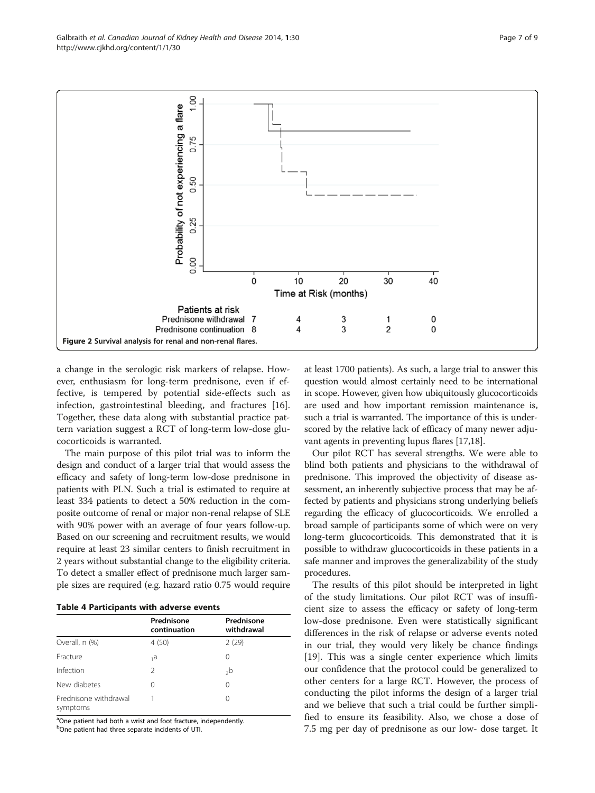a change in the serologic risk markers of relapse. However, enthusiasm for long-term prednisone, even if effective, is tempered by potential side-effects such as infection, gastrointestinal bleeding, and fractures [\[16](#page-8-0)]. Together, these data along with substantial practice pattern variation suggest a RCT of long-term low-dose glucocorticoids is warranted.

The main purpose of this pilot trial was to inform the design and conduct of a larger trial that would assess the efficacy and safety of long-term low-dose prednisone in patients with PLN. Such a trial is estimated to require at least 334 patients to detect a 50% reduction in the composite outcome of renal or major non-renal relapse of SLE with 90% power with an average of four years follow-up. Based on our screening and recruitment results, we would require at least 23 similar centers to finish recruitment in 2 years without substantial change to the eligibility criteria. To detect a smaller effect of prednisone much larger sample sizes are required (e.g. hazard ratio 0.75 would require

|                                   | Prednisone<br>continuation | Prednisone<br>withdrawal |
|-----------------------------------|----------------------------|--------------------------|
| Overall, n (%)                    | 4(50)                      | 2(29)                    |
| Fracture                          | 1a                         | $\Omega$                 |
| Infection                         | $\mathcal{P}$              | <sub>2</sub> b           |
| New diabetes                      | 0                          | 0                        |
| Prednisone withdrawal<br>symptoms |                            | 0                        |

<sup>a</sup>One patient had both a wrist and foot fracture, independently. <sup>b</sup>One patient had three separate incidents of UTI.

at least 1700 patients). As such, a large trial to answer this question would almost certainly need to be international in scope. However, given how ubiquitously glucocorticoids are used and how important remission maintenance is, such a trial is warranted. The importance of this is underscored by the relative lack of efficacy of many newer adjuvant agents in preventing lupus flares [\[17,18\]](#page-8-0).

Our pilot RCT has several strengths. We were able to blind both patients and physicians to the withdrawal of prednisone. This improved the objectivity of disease assessment, an inherently subjective process that may be affected by patients and physicians strong underlying beliefs regarding the efficacy of glucocorticoids. We enrolled a broad sample of participants some of which were on very long-term glucocorticoids. This demonstrated that it is possible to withdraw glucocorticoids in these patients in a safe manner and improves the generalizability of the study procedures.

The results of this pilot should be interpreted in light of the study limitations. Our pilot RCT was of insufficient size to assess the efficacy or safety of long-term low-dose prednisone. Even were statistically significant differences in the risk of relapse or adverse events noted in our trial, they would very likely be chance findings [[19\]](#page-8-0). This was a single center experience which limits our confidence that the protocol could be generalized to other centers for a large RCT. However, the process of conducting the pilot informs the design of a larger trial and we believe that such a trial could be further simplified to ensure its feasibility. Also, we chose a dose of 7.5 mg per day of prednisone as our low- dose target. It

<span id="page-6-0"></span>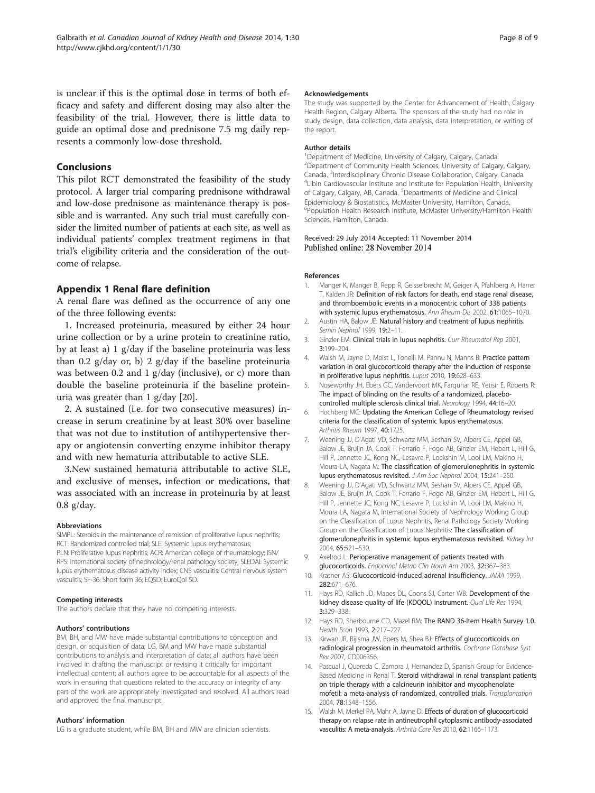<span id="page-7-0"></span>is unclear if this is the optimal dose in terms of both efficacy and safety and different dosing may also alter the feasibility of the trial. However, there is little data to guide an optimal dose and prednisone 7.5 mg daily represents a commonly low-dose threshold.

# Conclusions

This pilot RCT demonstrated the feasibility of the study protocol. A larger trial comparing prednisone withdrawal and low-dose prednisone as maintenance therapy is possible and is warranted. Any such trial must carefully consider the limited number of patients at each site, as well as individual patients' complex treatment regimens in that trial's eligibility criteria and the consideration of the outcome of relapse.

# Appendix 1 Renal flare definition

A renal flare was defined as the occurrence of any one of the three following events:

1. Increased proteinuria, measured by either 24 hour urine collection or by a urine protein to creatinine ratio, by at least a) 1 g/day if the baseline proteinuria was less than 0.2 g/day or, b) 2 g/day if the baseline proteinuria was between 0.2 and 1 g/day (inclusive), or c) more than double the baseline proteinuria if the baseline proteinuria was greater than 1 g/day [\[20](#page-8-0)].

2. A sustained (i.e. for two consecutive measures) increase in serum creatinine by at least 30% over baseline that was not due to institution of antihypertensive therapy or angiotensin converting enzyme inhibitor therapy and with new hematuria attributable to active SLE.

3.New sustained hematuria attributable to active SLE, and exclusive of menses, infection or medications, that was associated with an increase in proteinuria by at least 0.8 g/day.

#### Abbreviations

SIMPL: Steroids in the maintenance of remission of proliferative lupus nephritis; RCT: Randomized controlled trial; SLE: Systemic lupus erythematosus; PLN: Proliferative lupus nephritis; ACR: American college of rheumatology; ISN/ RPS: International society of nephrology/renal pathology society; SLEDAI: Systemic lupus erythematosus disease activity index; CNS vasculitis: Central nervous system vasculitis; SF-36: Short form 36; EQ5D: EuroQol 5D.

#### Competing interests

The authors declare that they have no competing interests.

#### Authors' contributions

BM, BH, and MW have made substantial contributions to conception and design, or acquisition of data; LG, BM and MW have made substantial contributions to analysis and interpretation of data; all authors have been involved in drafting the manuscript or revising it critically for important intellectual content; all authors agree to be accountable for all aspects of the work in ensuring that questions related to the accuracy or integrity of any part of the work are appropriately investigated and resolved. All authors read and approved the final manuscript.

#### Authors' information

LG is a graduate student, while BM, BH and MW are clinician scientists.

#### Acknowledgements

The study was supported by the Center for Advancement of Health, Calgary Health Region, Calgary Alberta. The sponsors of the study had no role in study design, data collection, data analysis, data interpretation, or writing of the report.

#### Author details

<sup>1</sup> Department of Medicine, University of Calgary, Calgary, Canada <sup>2</sup> Department of Community Health Sciences, University of Calgary, Calgary Canada. <sup>3</sup>Interdisciplinary Chronic Disease Collaboration, Calgary, Canada.<br><sup>4</sup>Libin Cardiovascular Institute and Institute for Population Health Univers <sup>4</sup>Libin Cardiovascular Institute and Institute for Population Health, University of Calgary, Calgary, AB, Canada. <sup>5</sup>Departments of Medicine and Clinical Epidemiology & Biostatistics, McMaster University, Hamilton, Canada. 6 Population Health Research Institute, McMaster University/Hamilton Health Sciences, Hamilton, Canada.

Received: 29 July 2014 Accepted: 11 November 2014 Published online: 28 November 2014

#### References

- 1. Manger K, Manger B, Repp R, Geisselbrecht M, Geiger A, Pfahlberg A, Harrer T, Kalden JR: Definition of risk factors for death, end stage renal disease, and thromboembolic events in a monocentric cohort of 338 patients with systemic lupus erythematosus. Ann Rheum Dis 2002, 61:1065–1070.
- Austin HA, Balow JE: Natural history and treatment of lupus nephritis. Semin Nephrol 1999, 19:2–11.
- 3. Ginzler EM: Clinical trials in lupus nephritis. Curr Rheumatol Rep 2001, 3:199–204.
- 4. Walsh M, Jayne D, Moist L, Tonelli M, Pannu N, Manns B: Practice pattern variation in oral glucocorticoid therapy after the induction of response in proliferative lupus nephritis. Lupus 2010, 19:628–633.
- 5. Noseworthy JH, Ebers GC, Vandervoort MK, Farquhar RE, Yetisir E, Roberts R: The impact of blinding on the results of a randomized, placebocontrolled multiple sclerosis clinical trial. Neurology 1994, 44:16–20.
- 6. Hochberg MC: Updating the American College of Rheumatology revised criteria for the classification of systemic lupus erythematosus. Arthritis Rheum 1997, 40:1725.
- 7. Weening JJ, D'Agati VD, Schwartz MM, Seshan SV, Alpers CE, Appel GB, Balow JE, Bruijn JA, Cook T, Ferrario F, Fogo AB, Ginzler EM, Hebert L, Hill G, Hill P, Jennette JC, Kong NC, Lesavre P, Lockshin M, Looi LM, Makino H, Moura LA, Nagata M: The classification of glomerulonephritis in systemic lupus erythematosus revisited. J Am Soc Nephrol 2004, 15:241–250.
- 8. Weening JJ, D'Agati VD, Schwartz MM, Seshan SV, Alpers CE, Appel GB, Balow JE, Bruijn JA, Cook T, Ferrario F, Fogo AB, Ginzler EM, Hebert L, Hill G, Hill P, Jennette JC, Kong NC, Lesavre P, Lockshin M, Looi LM, Makino H, Moura LA, Nagata M, International Society of Nephrology Working Group on the Classification of Lupus Nephritis, Renal Pathology Society Working Group on the Classification of Lupus Nephritis: The classification of glomerulonephritis in systemic lupus erythematosus revisited. Kidney Int 2004, 65:521–530.
- 9. Axelrod L: Perioperative management of patients treated with glucocorticoids. Endocrinol Metab Clin North Am 2003, 32:367–383.
- 10. Krasner AS: Glucocorticoid-induced adrenal insufficiency. JAMA 1999, 282:671–676.
- 11. Hays RD, Kallich JD, Mapes DL, Coons SJ, Carter WB: Development of the kidney disease quality of life (KDQOL) instrument. Qual Life Res 1994, 3:329–338.
- 12. Hays RD, Sherbourne CD, Mazel RM: The RAND 36-Item Health Survey 1.0. Health Econ 1993, 2:217–227.
- 13. Kirwan JR, Bijlsma JW, Boers M, Shea BJ: Effects of glucocorticoids on radiological progression in rheumatoid arthritis. Cochrane Database Syst Rev 2007, CD006356.
- 14. Pascual J, Quereda C, Zamora J, Hernandez D, Spanish Group for Evidence-Based Medicine in Renal T: Steroid withdrawal in renal transplant patients on triple therapy with a calcineurin inhibitor and mycophenolate mofetil: a meta-analysis of randomized, controlled trials. Transplantation 2004, 78:1548–1556.
- 15. Walsh M, Merkel PA, Mahr A, Jayne D: Effects of duration of glucocorticoid therapy on relapse rate in antineutrophil cytoplasmic antibody-associated vasculitis: A meta-analysis. Arthritis Care Res 2010, 62:1166–1173.